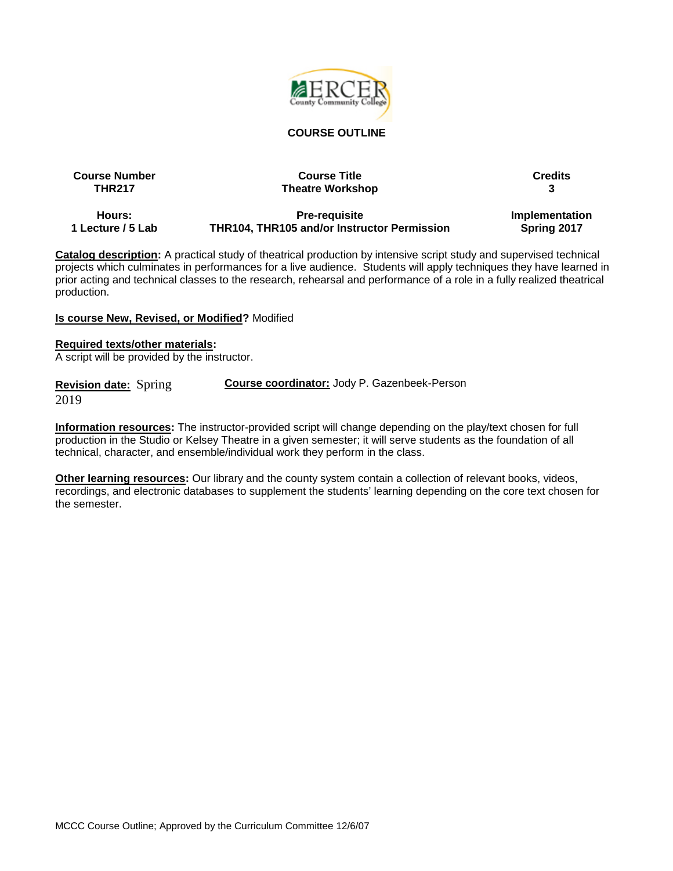

#### **COURSE OUTLINE**

| <b>Course Number</b> | <b>Course Title</b>     | <b>Credits</b> |
|----------------------|-------------------------|----------------|
| <b>THR217</b>        | <b>Theatre Workshop</b> |                |
| Hours:               | <b>Pre-requisite</b>    | Implementation |

**1 Lecture / 5 Lab**

**Pre-requisite THR104, THR105 and/or Instructor Permission** **Implementation Spring 2017**

**Catalog description:** A practical study of theatrical production by intensive script study and supervised technical projects which culminates in performances for a live audience. Students will apply techniques they have learned in prior acting and technical classes to the research, rehearsal and performance of a role in a fully realized theatrical production.

#### **Is course New, Revised, or Modified?** Modified

#### **Required texts/other materials:**

A script will be provided by the instructor.

| <b>Revision date:</b> Spring | <b>Course coordinator: Jody P. Gazenbeek-Person</b> |
|------------------------------|-----------------------------------------------------|
| 2019                         |                                                     |

**Information resources:** The instructor-provided script will change depending on the play/text chosen for full production in the Studio or Kelsey Theatre in a given semester; it will serve students as the foundation of all technical, character, and ensemble/individual work they perform in the class.

**Other learning resources:** Our library and the county system contain a collection of relevant books, videos, recordings, and electronic databases to supplement the students' learning depending on the core text chosen for the semester.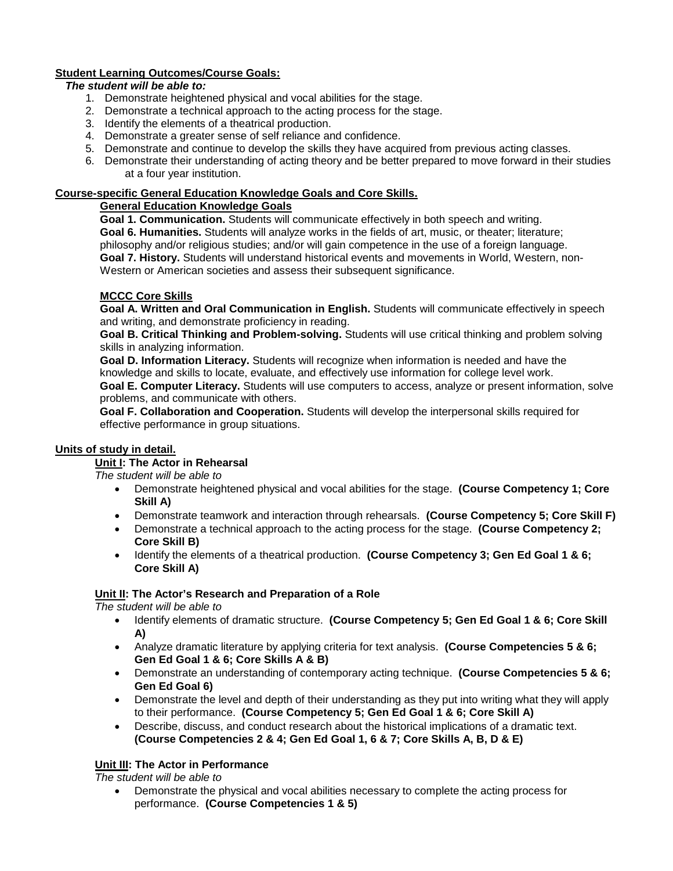# **Student Learning Outcomes/Course Goals:**

### *The student will be able to:*

- 1. Demonstrate heightened physical and vocal abilities for the stage.
- 2. Demonstrate a technical approach to the acting process for the stage.
- 3. Identify the elements of a theatrical production.
- 4. Demonstrate a greater sense of self reliance and confidence.
- 5. Demonstrate and continue to develop the skills they have acquired from previous acting classes.
- 6. Demonstrate their understanding of acting theory and be better prepared to move forward in their studies at a four year institution.

### **Course-specific General Education Knowledge Goals and Core Skills.**

### **General Education Knowledge Goals**

**Goal 1. Communication.** Students will communicate effectively in both speech and writing. **Goal 6. Humanities.** Students will analyze works in the fields of art, music, or theater; literature; philosophy and/or religious studies; and/or will gain competence in the use of a foreign language. **Goal 7. History.** Students will understand historical events and movements in World, Western, non-Western or American societies and assess their subsequent significance.

# **MCCC Core Skills**

**Goal A. Written and Oral Communication in English.** Students will communicate effectively in speech and writing, and demonstrate proficiency in reading.

**Goal B. Critical Thinking and Problem-solving.** Students will use critical thinking and problem solving skills in analyzing information.

**Goal D. Information Literacy.** Students will recognize when information is needed and have the knowledge and skills to locate, evaluate, and effectively use information for college level work.

**Goal E. Computer Literacy.** Students will use computers to access, analyze or present information, solve problems, and communicate with others.

**Goal F. Collaboration and Cooperation.** Students will develop the interpersonal skills required for effective performance in group situations.

# **Units of study in detail.**

#### **Unit I: The Actor in Rehearsal**

*The student will be able to*

- Demonstrate heightened physical and vocal abilities for the stage. **(Course Competency 1; Core Skill A)**
- Demonstrate teamwork and interaction through rehearsals. **(Course Competency 5; Core Skill F)**
- Demonstrate a technical approach to the acting process for the stage. **(Course Competency 2; Core Skill B)**
- Identify the elements of a theatrical production. **(Course Competency 3; Gen Ed Goal 1 & 6; Core Skill A)**

# **Unit II: The Actor's Research and Preparation of a Role**

*The student will be able to*

- Identify elements of dramatic structure. **(Course Competency 5; Gen Ed Goal 1 & 6; Core Skill A)**
- Analyze dramatic literature by applying criteria for text analysis. **(Course Competencies 5 & 6; Gen Ed Goal 1 & 6; Core Skills A & B)**
- Demonstrate an understanding of contemporary acting technique. **(Course Competencies 5 & 6; Gen Ed Goal 6)**
- Demonstrate the level and depth of their understanding as they put into writing what they will apply to their performance. **(Course Competency 5; Gen Ed Goal 1 & 6; Core Skill A)**
- Describe, discuss, and conduct research about the historical implications of a dramatic text. **(Course Competencies 2 & 4; Gen Ed Goal 1, 6 & 7; Core Skills A, B, D & E)**

# **Unit III: The Actor in Performance**

*The student will be able to*

• Demonstrate the physical and vocal abilities necessary to complete the acting process for performance. **(Course Competencies 1 & 5)**